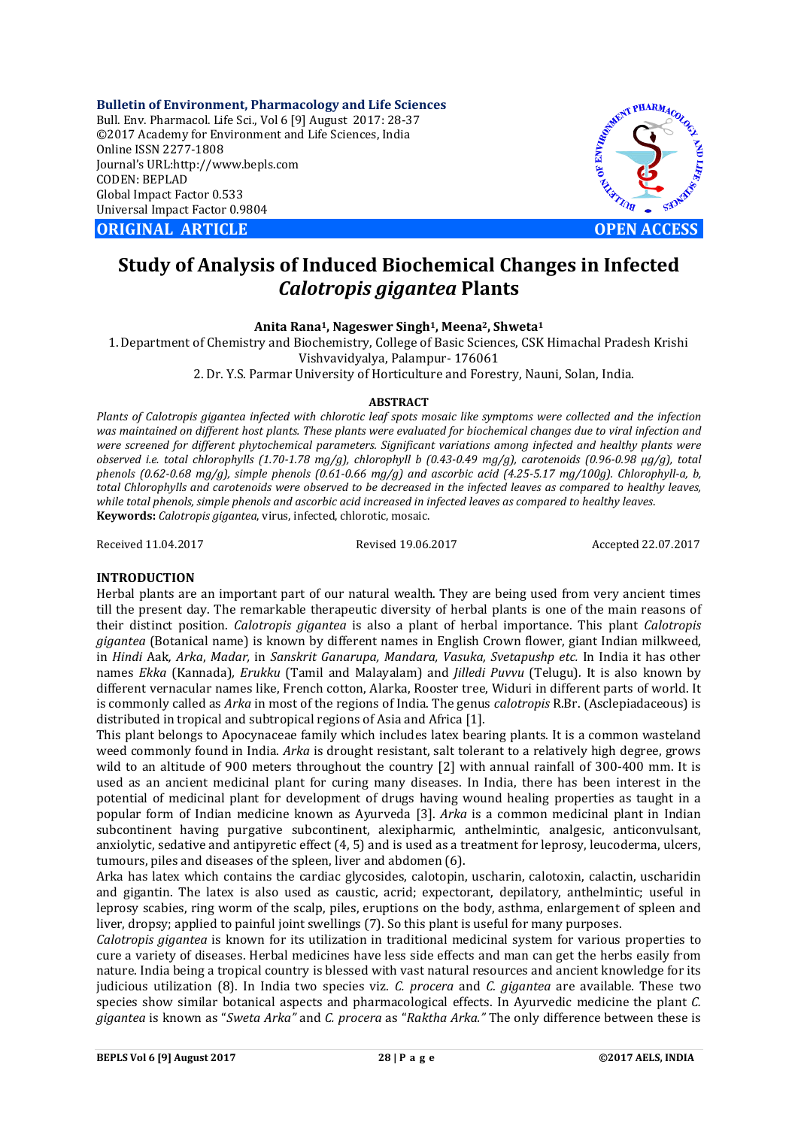**Bulletin of Environment, Pharmacology and Life Sciences** Bull. Env. Pharmacol. Life Sci., Vol 6 [9] August 2017: 28-37 ©2017 Academy for Environment and Life Sciences, India Online ISSN 2277-1808 Journal's URL:http://www.bepls.com CODEN: BEPLAD Global Impact Factor 0.533 Universal Impact Factor 0.9804

**ORIGINAL ARTICLE OPEN ACCESS** 



# **Study of Analysis of Induced Biochemical Changes in Infected**  *Calotropis gigantea* **Plants**

### **Anita Rana1, Nageswer Singh1, Meena2, Shweta1**

1.Department of Chemistry and Biochemistry, College of Basic Sciences, CSK Himachal Pradesh Krishi Vishvavidyalya, Palampur- 176061

2. Dr. Y.S. Parmar University of Horticulture and Forestry, Nauni, Solan, India.

### **ABSTRACT**

*Plants of Calotropis gigantea infected with chlorotic leaf spots mosaic like symptoms were collected and the infection was maintained on different host plants. These plants were evaluated for biochemical changes due to viral infection and were screened for different phytochemical parameters. Significant variations among infected and healthy plants were observed i.e. total chlorophylls (1.70-1.78 mg/g), chlorophyll b (0.43-0.49 mg/g), carotenoids (0.96-0.98 µg/g), total phenols (0.62-0.68 mg/g), simple phenols (0.61-0.66 mg/g) and ascorbic acid (4.25-5.17 mg/100g). Chlorophyll-a, b, total Chlorophylls and carotenoids were observed to be decreased in the infected leaves as compared to healthy leaves, while total phenols, simple phenols and ascorbic acid increased in infected leaves as compared to healthy leaves*. **Keywords:** *Calotropis gigantea*, virus, infected, chlorotic, mosaic.

Received 11.04.2017 Revised 19.06.2017 Accepted 22.07.2017

### **INTRODUCTION**

Herbal plants are an important part of our natural wealth. They are being used from very ancient times till the present day. The remarkable therapeutic diversity of herbal plants is one of the main reasons of their distinct position. *Calotropis gigantea* is also a plant of herbal importance. This plant *Calotropis gigantea* (Botanical name) is known by different names in English Crown flower, giant Indian milkweed, in *Hindi* Aak*, Arka*, *Madar,* in *Sanskrit Ganarupa, Mandara, Vasuka, Svetapushp etc.* In India it has other names *Ekka* (Kannada)*, Erukku* (Tamil and Malayalam) and *Jilledi Puvvu* (Telugu)*.* It is also known by different vernacular names like, French cotton, Alarka, Rooster tree, Widuri in different parts of world. It is commonly called as *Arka* in most of the regions of India. The genus *calotropis* R.Br. (Asclepiadaceous) is distributed in tropical and subtropical regions of Asia and Africa [1].

This plant belongs to Apocynaceae family which includes latex bearing plants. It is a common wasteland weed commonly found in India. *Arka* is drought resistant, salt tolerant to a relatively high degree, grows wild to an altitude of 900 meters throughout the country [2] with annual rainfall of 300-400 mm. It is used as an ancient medicinal plant for curing many diseases. In India, there has been interest in the potential of medicinal plant for development of drugs having wound healing properties as taught in a popular form of Indian medicine known as Ayurveda [3]. *Arka* is a common medicinal plant in Indian subcontinent having purgative subcontinent, alexipharmic, anthelmintic, analgesic, anticonvulsant, anxiolytic, sedative and antipyretic effect (4, 5) and is used as a treatment for leprosy, leucoderma, ulcers, tumours, piles and diseases of the spleen, liver and abdomen (6).

Arka has latex which contains the cardiac glycosides, calotopin, uscharin, calotoxin, calactin, uscharidin and gigantin. The latex is also used as caustic, acrid; expectorant, depilatory, anthelmintic; useful in leprosy scabies, ring worm of the scalp, piles, eruptions on the body, asthma, enlargement of spleen and liver, dropsy; applied to painful joint swellings (7). So this plant is useful for many purposes.

*Calotropis gigantea* is known for its utilization in traditional medicinal system for various properties to cure a variety of diseases. Herbal medicines have less side effects and man can get the herbs easily from nature. India being a tropical country is blessed with vast natural resources and ancient knowledge for its judicious utilization (8). In India two species viz. *C. procera* and *C. gigantea* are available*.* These two species show similar botanical aspects and pharmacological effects. In Ayurvedic medicine the plant *C. gigantea* is known as "*Sweta Arka"* and *C. procera* as "*Raktha Arka."* The only difference between these is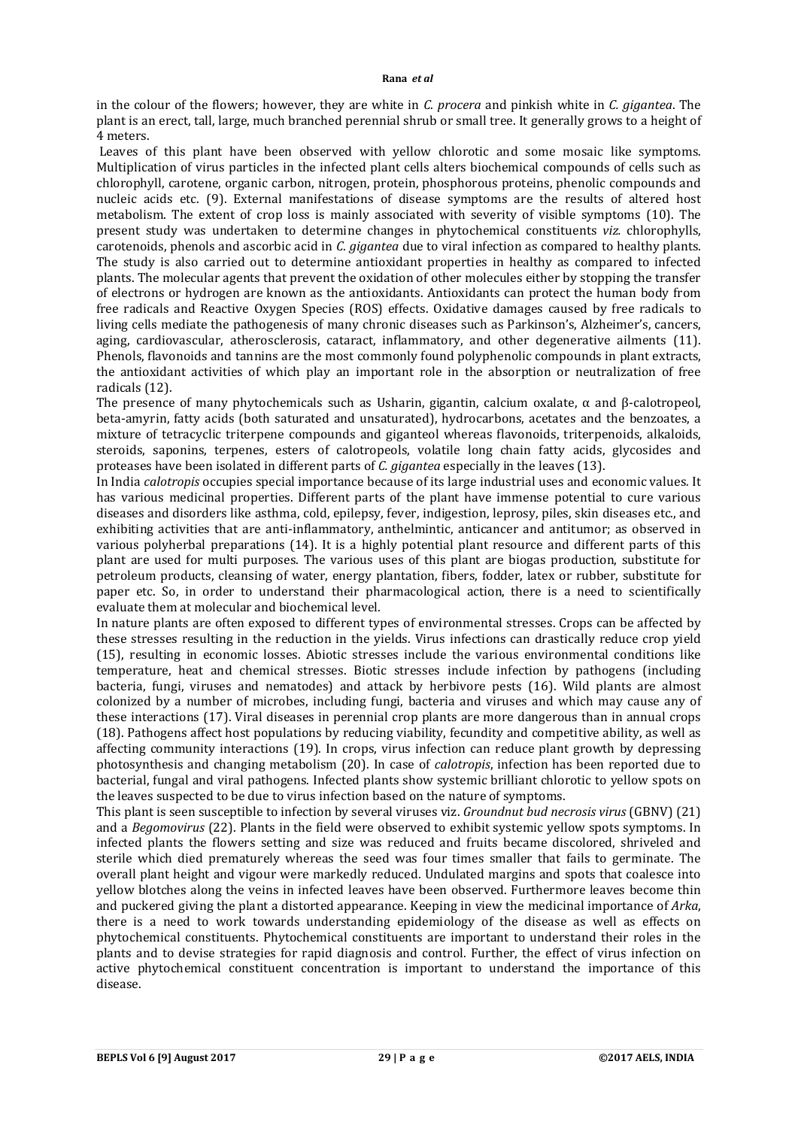in the colour of the flowers; however, they are white in *C. procera* and pinkish white in *C. gigantea*. The plant is an erect, tall, large, much branched perennial shrub or small tree. It generally grows to a height of 4 meters.

Leaves of this plant have been observed with yellow chlorotic and some mosaic like symptoms. Multiplication of virus particles in the infected plant cells alters biochemical compounds of cells such as chlorophyll, carotene, organic carbon, nitrogen, protein, phosphorous proteins, phenolic compounds and nucleic acids etc. (9). External manifestations of disease symptoms are the results of altered host metabolism. The extent of crop loss is mainly associated with severity of visible symptoms (10). The present study was undertaken to determine changes in phytochemical constituents *viz.* chlorophylls, carotenoids, phenols and ascorbic acid in *C*. *gigantea* due to viral infection as compared to healthy plants. The study is also carried out to determine antioxidant properties in healthy as compared to infected plants. The molecular agents that prevent the oxidation of other molecules either by stopping the transfer of electrons or hydrogen are known as the antioxidants. Antioxidants can protect the human body from free radicals and Reactive Oxygen Species (ROS) effects. Oxidative damages caused by free radicals to living cells mediate the pathogenesis of many chronic diseases such as Parkinson's, Alzheimer's, cancers, aging, cardiovascular, atherosclerosis, cataract, inflammatory, and other degenerative ailments (11). Phenols, flavonoids and tannins are the most commonly found polyphenolic compounds in plant extracts, the antioxidant activities of which play an important role in the absorption or neutralization of free radicals (12).

The presence of many phytochemicals such as Usharin, gigantin, calcium oxalate, α and β-calotropeol, beta-amyrin, fatty acids (both saturated and unsaturated), hydrocarbons, acetates and the benzoates, a mixture of tetracyclic triterpene compounds and giganteol whereas flavonoids, triterpenoids, alkaloids, steroids, saponins, terpenes, esters of calotropeols, volatile long chain fatty acids, glycosides and proteases have been isolated in different parts of *C. gigantea* especially in the leaves (13).

In India *calotropis* occupies special importance because of its large industrial uses and economic values*.* It has various medicinal properties. Different parts of the plant have immense potential to cure various diseases and disorders like asthma, cold, epilepsy, fever, indigestion, leprosy, piles, skin diseases etc., and exhibiting activities that are anti-inflammatory, anthelmintic, anticancer and antitumor; as observed in various polyherbal preparations (14). It is a highly potential plant resource and different parts of this plant are used for multi purposes. The various uses of this plant are biogas production, substitute for petroleum products, cleansing of water, energy plantation, fibers, fodder, latex or rubber, substitute for paper etc. So, in order to understand their pharmacological action, there is a need to scientifically evaluate them at molecular and biochemical level.

In nature plants are often exposed to different types of environmental stresses. Crops can be affected by these stresses resulting in the reduction in the yields. Virus infections can drastically reduce crop yield (15), resulting in economic losses. Abiotic stresses include the various environmental conditions like temperature, heat and chemical stresses. Biotic stresses include infection by pathogens (including bacteria, fungi, viruses and nematodes) and attack by herbivore pests (16). Wild plants are almost colonized by a number of microbes, including fungi, bacteria and viruses and which may cause any of these interactions (17). Viral diseases in perennial crop plants are more dangerous than in annual crops (18). Pathogens affect host populations by reducing viability, fecundity and competitive ability, as well as affecting community interactions (19). In crops, virus infection can reduce plant growth by depressing photosynthesis and changing metabolism (20). In case of *calotropis*, infection has been reported due to bacterial, fungal and viral pathogens. Infected plants show systemic brilliant chlorotic to yellow spots on the leaves suspected to be due to virus infection based on the nature of symptoms.

This plant is seen susceptible to infection by several viruses viz. *Groundnut bud necrosis virus* (GBNV) (21) and a *Begomovirus* (22). Plants in the field were observed to exhibit systemic yellow spots symptoms. In infected plants the flowers setting and size was reduced and fruits became discolored, shriveled and sterile which died prematurely whereas the seed was four times smaller that fails to germinate. The overall plant height and vigour were markedly reduced. Undulated margins and spots that coalesce into yellow blotches along the veins in infected leaves have been observed. Furthermore leaves become thin and puckered giving the plant a distorted appearance. Keeping in view the medicinal importance of *Arka*, there is a need to work towards understanding epidemiology of the disease as well as effects on phytochemical constituents. Phytochemical constituents are important to understand their roles in the plants and to devise strategies for rapid diagnosis and control. Further, the effect of virus infection on active phytochemical constituent concentration is important to understand the importance of this disease.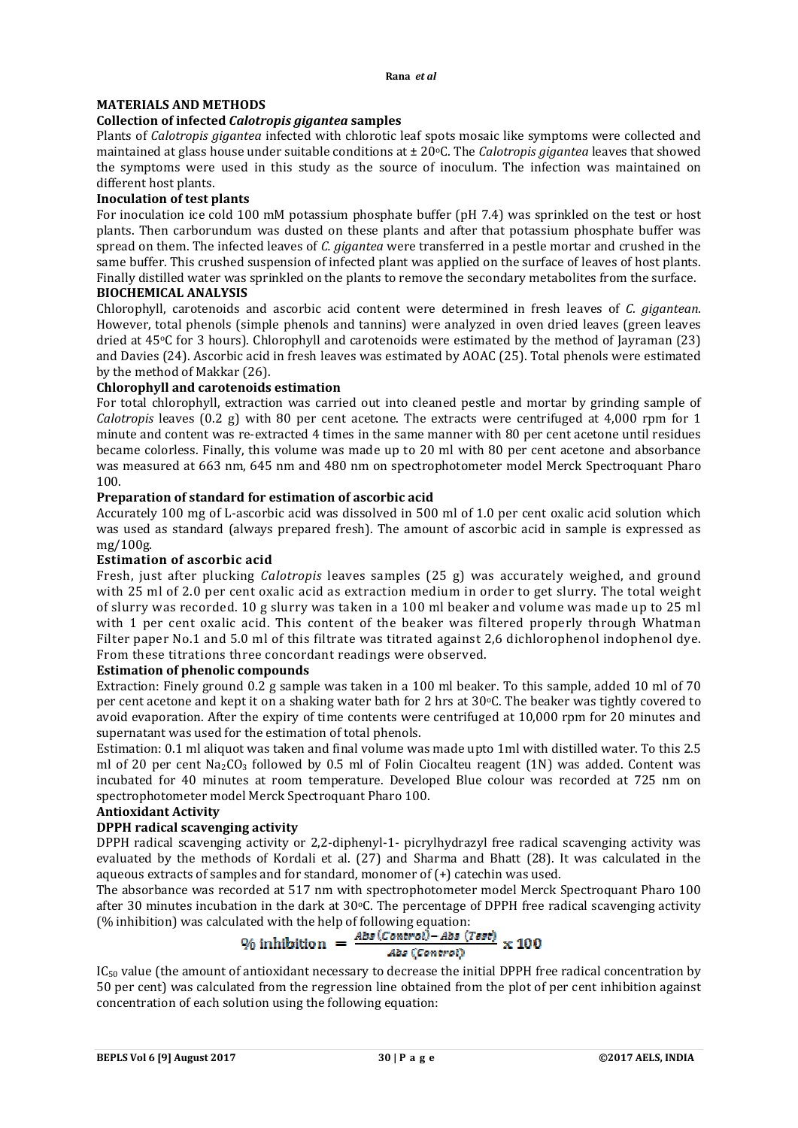### **MATERIALS AND METHODS**

### **Collection of infected** *Calotropis gigantea* **samples**

Plants of *Calotropis gigantea* infected with chlorotic leaf spots mosaic like symptoms were collected and maintained at glass house under suitable conditions at  $\pm 20^{\circ}$ C. The *Calotropis gigantea* leaves that showed the symptoms were used in this study as the source of inoculum. The infection was maintained on different host plants.

### **Inoculation of test plants**

For inoculation ice cold 100 mM potassium phosphate buffer (pH 7.4) was sprinkled on the test or host plants. Then carborundum was dusted on these plants and after that potassium phosphate buffer was spread on them. The infected leaves of *C. gigantea* were transferred in a pestle mortar and crushed in the same buffer. This crushed suspension of infected plant was applied on the surface of leaves of host plants. Finally distilled water was sprinkled on the plants to remove the secondary metabolites from the surface.

### **BIOCHEMICAL ANALYSIS**

Chlorophyll, carotenoids and ascorbic acid content were determined in fresh leaves of *C*. *gigantean*. However, total phenols (simple phenols and tannins) were analyzed in oven dried leaves (green leaves dried at 45oC for 3 hours). Chlorophyll and carotenoids were estimated by the method of Jayraman (23) and Davies (24). Ascorbic acid in fresh leaves was estimated by AOAC (25). Total phenols were estimated by the method of Makkar (26).

### **Chlorophyll and carotenoids estimation**

For total chlorophyll, extraction was carried out into cleaned pestle and mortar by grinding sample of *Calotropis* leaves (0.2 g) with 80 per cent acetone. The extracts were centrifuged at 4,000 rpm for 1 minute and content was re-extracted 4 times in the same manner with 80 per cent acetone until residues became colorless. Finally, this volume was made up to 20 ml with 80 per cent acetone and absorbance was measured at 663 nm, 645 nm and 480 nm on spectrophotometer model Merck Spectroquant Pharo 100.

### **Preparation of standard for estimation of ascorbic acid**

Accurately 100 mg of L-ascorbic acid was dissolved in 500 ml of 1.0 per cent oxalic acid solution which was used as standard (always prepared fresh). The amount of ascorbic acid in sample is expressed as mg/100g.

### **Estimation of ascorbic acid**

Fresh, just after plucking *Calotropis* leaves samples (25 g) was accurately weighed, and ground with 25 ml of 2.0 per cent oxalic acid as extraction medium in order to get slurry. The total weight of slurry was recorded. 10 g slurry was taken in a 100 ml beaker and volume was made up to 25 ml with 1 per cent oxalic acid. This content of the beaker was filtered properly through Whatman Filter paper No.1 and 5.0 ml of this filtrate was titrated against 2,6 dichlorophenol indophenol dye. From these titrations three concordant readings were observed.

### **Estimation of phenolic compounds**

Extraction: Finely ground 0.2 g sample was taken in a 100 ml beaker. To this sample, added 10 ml of 70 per cent acetone and kept it on a shaking water bath for 2 hrs at  $30^{\circ}$ C. The beaker was tightly covered to avoid evaporation. After the expiry of time contents were centrifuged at 10,000 rpm for 20 minutes and supernatant was used for the estimation of total phenols.

Estimation: 0.1 ml aliquot was taken and final volume was made upto 1ml with distilled water. To this 2.5 ml of 20 per cent Na<sub>2</sub>CO<sub>3</sub> followed by 0.5 ml of Folin Ciocalteu reagent (1N) was added. Content was incubated for 40 minutes at room temperature. Developed Blue colour was recorded at 725 nm on spectrophotometer model Merck Spectroquant Pharo 100.

### **Antioxidant Activity**

# **DPPH radical scavenging activity**

DPPH radical scavenging activity or 2,2-diphenyl-1- picrylhydrazyl free radical scavenging activity was evaluated by the methods of Kordali et al. (27) and Sharma and Bhatt (28). It was calculated in the aqueous extracts of samples and for standard, monomer of (+) catechin was used.

The absorbance was recorded at 517 nm with spectrophotometer model Merck Spectroquant Pharo 100 after 30 minutes incubation in the dark at  $30^{\circ}$ C. The percentage of DPPH free radical scavenging activity (% inhibition) was calculated with the help of following equation:

$$
\% \text{ inhibition} = \frac{\text{Abs}(Control) - \text{Abs}(Test)}{\text{Abs}(Control)} \times 100
$$

IC<sub>50</sub> value (the amount of antioxidant necessary to decrease the initial DPPH free radical concentration by 50 per cent) was calculated from the regression line obtained from the plot of per cent inhibition against concentration of each solution using the following equation: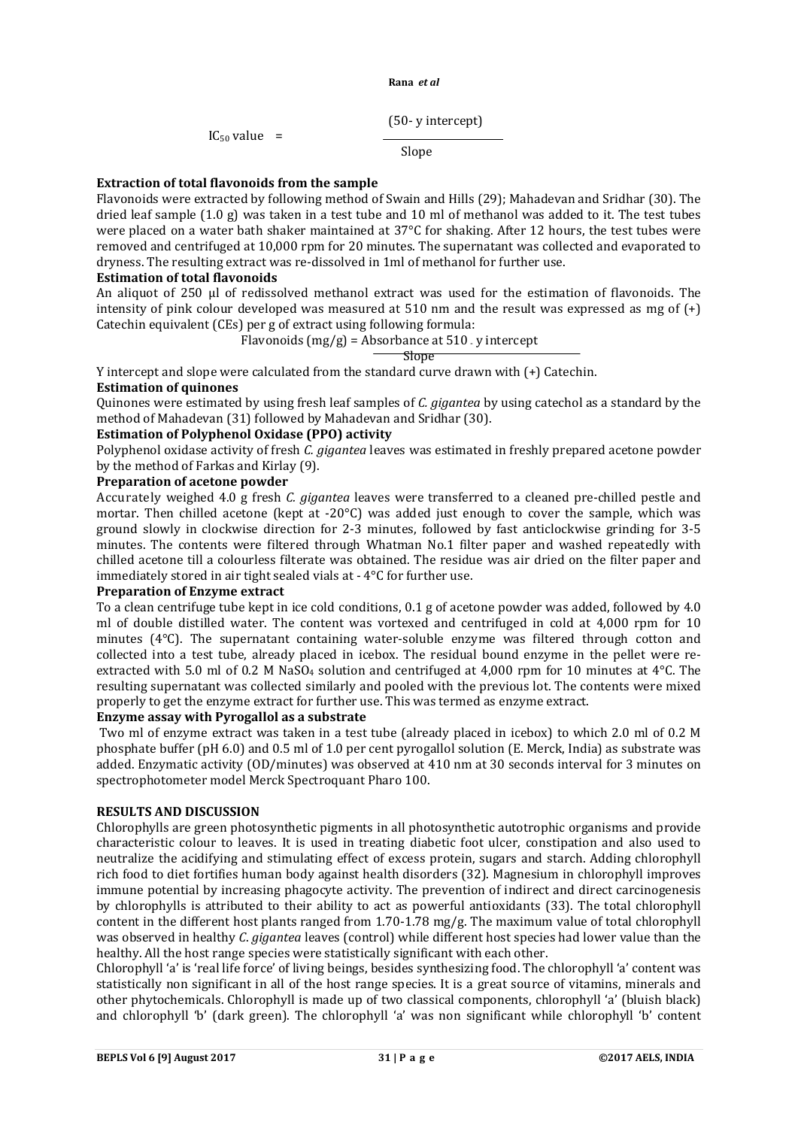(50- y intercept)

 $IC_{50}$  value =

Slope

# **Extraction of total flavonoids from the sample**

Flavonoids were extracted by following method of Swain and Hills (29); Mahadevan and Sridhar (30). The dried leaf sample (1.0 g) was taken in a test tube and 10 ml of methanol was added to it. The test tubes were placed on a water bath shaker maintained at 37°C for shaking. After 12 hours, the test tubes were removed and centrifuged at 10,000 rpm for 20 minutes. The supernatant was collected and evaporated to dryness. The resulting extract was re-dissolved in 1ml of methanol for further use.

### **Estimation of total flavonoids**

An aliquot of 250 μl of redissolved methanol extract was used for the estimation of flavonoids. The intensity of pink colour developed was measured at 510 nm and the result was expressed as mg of (+) Catechin equivalent (CEs) per g of extract using following formula:

Flavonoids  $(mg/g)$  = Absorbance at 510 - y intercept

<u>Slope Slope Slope Slope Slope Slope Slope Slope Slope Slope Slope Slope Slope Slope Slope Slope Slope Slope Slo</u>

Y intercept and slope were calculated from the standard curve drawn with (+) Catechin.

# **Estimation of quinones**

Quinones were estimated by using fresh leaf samples of *C. gigantea* by using catechol as a standard by the method of Mahadevan (31) followed by Mahadevan and Sridhar (30).

# **Estimation of Polyphenol Oxidase (PPO) activity**

Polyphenol oxidase activity of fresh *C. gigantea* leaves was estimated in freshly prepared acetone powder by the method of Farkas and Kirlay (9).

## **Preparation of acetone powder**

Accurately weighed 4.0 g fresh *C. gigantea* leaves were transferred to a cleaned pre-chilled pestle and mortar. Then chilled acetone (kept at -20°C) was added just enough to cover the sample, which was ground slowly in clockwise direction for 2-3 minutes, followed by fast anticlockwise grinding for 3-5 minutes. The contents were filtered through Whatman No.1 filter paper and washed repeatedly with chilled acetone till a colourless filterate was obtained. The residue was air dried on the filter paper and immediately stored in air tight sealed vials at - 4°C for further use.

### **Preparation of Enzyme extract**

To a clean centrifuge tube kept in ice cold conditions, 0.1 g of acetone powder was added, followed by 4.0 ml of double distilled water. The content was vortexed and centrifuged in cold at 4,000 rpm for 10 minutes (4°C). The supernatant containing water-soluble enzyme was filtered through cotton and collected into a test tube, already placed in icebox. The residual bound enzyme in the pellet were reextracted with 5.0 ml of 0.2 M NaSO<sub>4</sub> solution and centrifuged at 4,000 rpm for 10 minutes at  $4^{\circ}$ C. The resulting supernatant was collected similarly and pooled with the previous lot. The contents were mixed properly to get the enzyme extract for further use. This was termed as enzyme extract.

### **Enzyme assay with Pyrogallol as a substrate**

Two ml of enzyme extract was taken in a test tube (already placed in icebox) to which 2.0 ml of 0.2 M phosphate buffer (pH 6.0) and 0.5 ml of 1.0 per cent pyrogallol solution (E. Merck, India) as substrate was added. Enzymatic activity (OD/minutes) was observed at 410 nm at 30 seconds interval for 3 minutes on spectrophotometer model Merck Spectroquant Pharo 100.

### **RESULTS AND DISCUSSION**

Chlorophylls are green photosynthetic pigments in all photosynthetic autotrophic organisms and provide characteristic colour to leaves. It is used in treating diabetic foot ulcer, constipation and also used to neutralize the acidifying and stimulating effect of excess protein, sugars and starch. Adding chlorophyll rich food to diet fortifies human body against health disorders (32). Magnesium in chlorophyll improves immune potential by increasing phagocyte activity. The prevention of indirect and direct carcinogenesis by chlorophylls is attributed to their ability to act as powerful antioxidants (33). The total chlorophyll content in the different host plants ranged from 1.70-1.78 mg/g. The maximum value of total chlorophyll was observed in healthy *C*. *gigantea* leaves (control) while different host species had lower value than the healthy. All the host range species were statistically significant with each other.

Chlorophyll 'a' is 'real life force' of living beings, besides synthesizing food. The chlorophyll 'a' content was statistically non significant in all of the host range species. It is a great source of vitamins, minerals and other phytochemicals. Chlorophyll is made up of two classical components, chlorophyll 'a' (bluish black) and chlorophyll 'b' (dark green). The chlorophyll 'a' was non significant while chlorophyll 'b' content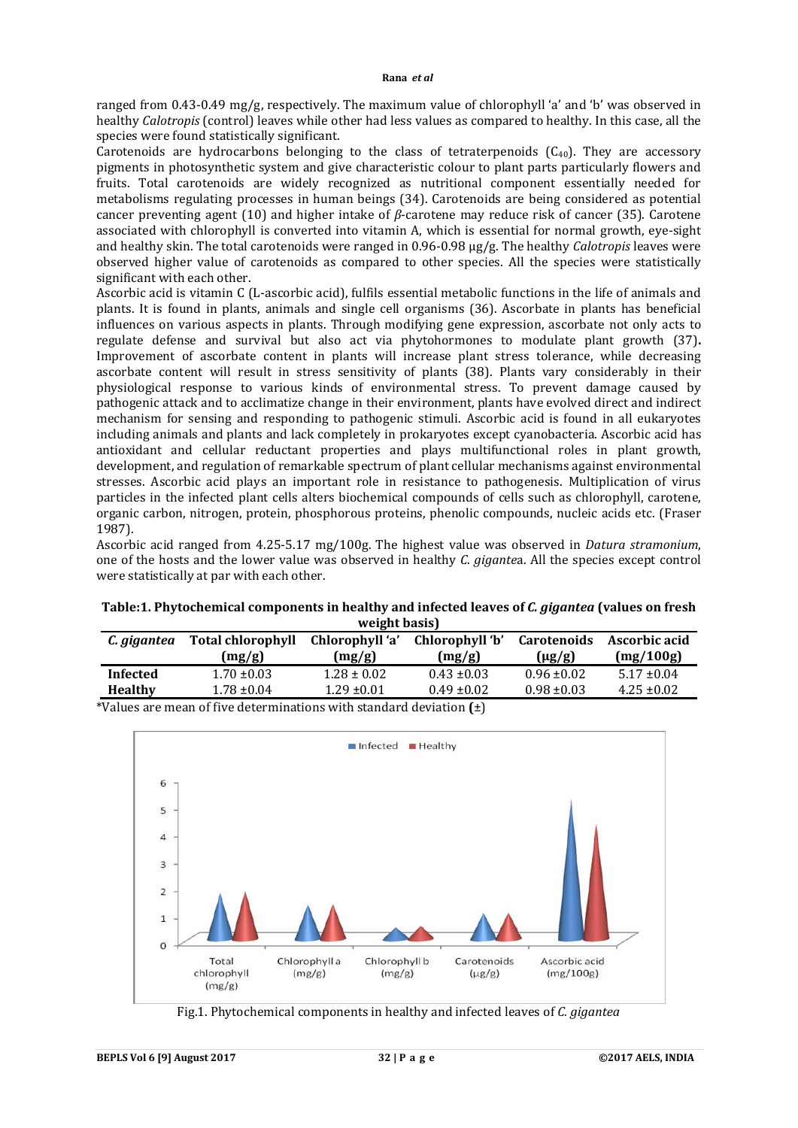ranged from 0.43-0.49 mg/g, respectively. The maximum value of chlorophyll 'a' and 'b' was observed in healthy *Calotropis* (control) leaves while other had less values as compared to healthy. In this case, all the species were found statistically significant.

Carotenoids are hydrocarbons belonging to the class of tetraterpenoids  $(C_{40})$ . They are accessory pigments in photosynthetic system and give characteristic colour to plant parts particularly flowers and fruits. Total carotenoids are widely recognized as nutritional component essentially needed for metabolisms regulating processes in human beings (34). Carotenoids are being considered as potential cancer preventing agent (10) and higher intake of *β*-carotene may reduce risk of cancer (35). Carotene associated with chlorophyll is converted into vitamin A, which is essential for normal growth, eye-sight and healthy skin. The total carotenoids were ranged in 0.96-0.98 µg/g. The healthy *Calotropis* leaves were observed higher value of carotenoids as compared to other species. All the species were statistically significant with each other.

Ascorbic acid is vitamin C (L-ascorbic acid), fulfils essential metabolic functions in the life of animals and plants. It is found in plants, animals and single cell organisms (36). Ascorbate in plants has beneficial influences on various aspects in plants. Through modifying gene expression, ascorbate not only acts to regulate defense and survival but also act via phytohormones to modulate plant growth (37)**.**  Improvement of ascorbate content in plants will increase plant stress tolerance, while decreasing ascorbate content will result in stress sensitivity of plants (38). Plants vary considerably in their physiological response to various kinds of environmental stress. To prevent damage caused by pathogenic attack and to acclimatize change in their environment, plants have evolved direct and indirect mechanism for sensing and responding to pathogenic stimuli. Ascorbic acid is found in all eukaryotes including animals and plants and lack completely in prokaryotes except cyanobacteria. Ascorbic acid has antioxidant and cellular reductant properties and plays multifunctional roles in plant growth, development, and regulation of remarkable spectrum of plant cellular mechanisms against environmental stresses. Ascorbic acid plays an important role in resistance to pathogenesis. Multiplication of virus particles in the infected plant cells alters biochemical compounds of cells such as chlorophyll, carotene, organic carbon, nitrogen, protein, phosphorous proteins, phenolic compounds, nucleic acids etc. (Fraser 1987).

Ascorbic acid ranged from 4.25-5.17 mg/100g. The highest value was observed in *Datura stramonium*, one of the hosts and the lower value was observed in healthy *C*. *gigante*a. All the species except control were statistically at par with each other.

| weight basis)   |                                                                                           |                           |                           |                                   |                            |  |  |  |
|-----------------|-------------------------------------------------------------------------------------------|---------------------------|---------------------------|-----------------------------------|----------------------------|--|--|--|
| C. gigantea     | Total chlorophyll<br>(mg/g)                                                               | Chlorophyll 'a'<br>(mg/g) | Chlorophyll 'b'<br>(mg/g) | <b>Carotenoids</b><br>$(\mu$ g/g) | Ascorbic acid<br>(mg/100g) |  |  |  |
| <b>Infected</b> | $1.70 \pm 0.03$                                                                           | $1.28 \pm 0.02$           | $0.43 \pm 0.03$           | $0.96 \pm 0.02$                   | $5.17 \pm 0.04$            |  |  |  |
| <b>Healthy</b>  | $1.78 \pm 0.04$                                                                           | $1.29 \pm 0.01$           | $0.49 \pm 0.02$           | $0.98 \pm 0.03$                   | $4.25 \pm 0.02$            |  |  |  |
|                 | $*U$ . Les sons ans an auf Carried and an automobility and and decomposition $f(\lambda)$ |                           |                           |                                   |                            |  |  |  |

### **Table:1. Phytochemical components in healthy and infected leaves of** *C. gigantea* **(values on fresh weight basis)**

\*Values are mean of five determinations with standard deviation **(**±)



Fig.1. Phytochemical components in healthy and infected leaves of *C. gigantea*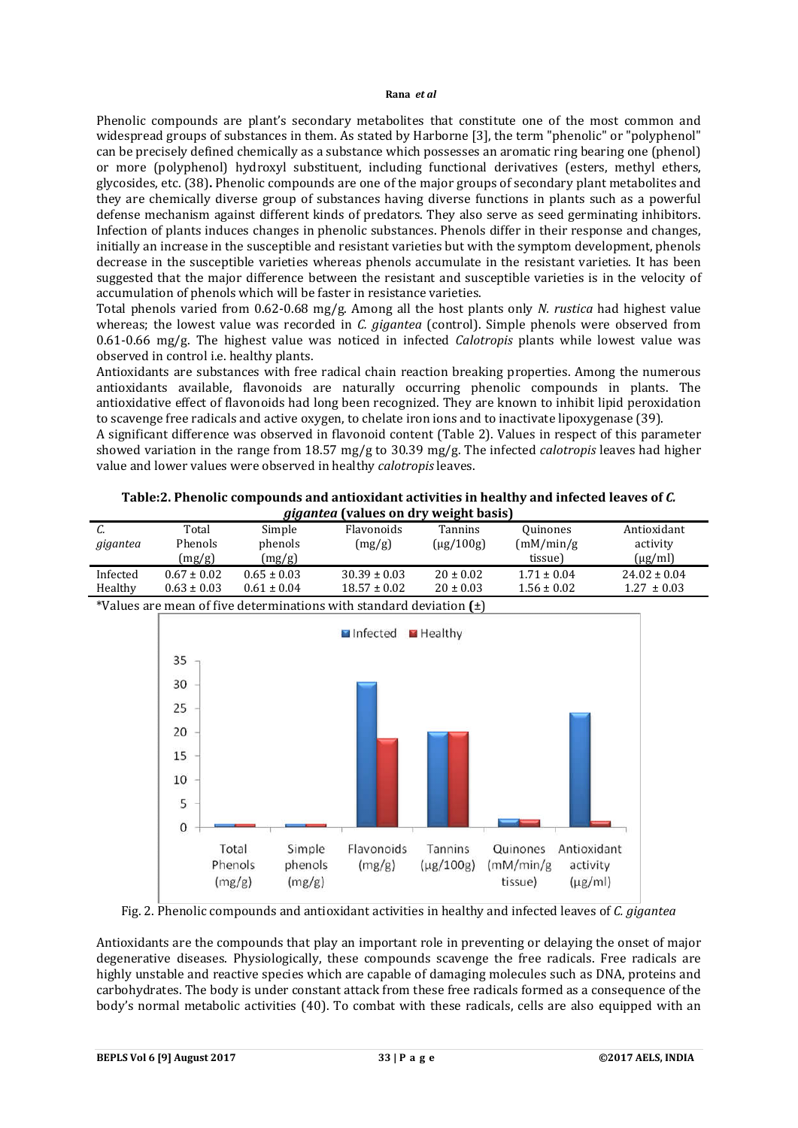Phenolic compounds are plant's secondary metabolites that constitute one of the most common and widespread groups of substances in them. As stated by Harborne [3], the term "phenolic" or "polyphenol" can be precisely defined chemically as a substance which possesses an aromatic ring bearing one (phenol) or more (polyphenol) hydroxyl substituent, including functional derivatives (esters, methyl ethers, glycosides, etc. (38)**.** Phenolic compounds are one of the major groups of secondary plant metabolites and they are chemically diverse group of substances having diverse functions in plants such as a powerful defense mechanism against different kinds of predators. They also serve as seed germinating inhibitors. Infection of plants induces changes in phenolic substances. Phenols differ in their response and changes, initially an increase in the susceptible and resistant varieties but with the symptom development, phenols decrease in the susceptible varieties whereas phenols accumulate in the resistant varieties. It has been suggested that the major difference between the resistant and susceptible varieties is in the velocity of accumulation of phenols which will be faster in resistance varieties.

Total phenols varied from 0.62-0.68 mg/g. Among all the host plants only *N. rustica* had highest value whereas; the lowest value was recorded in *C. gigantea* (control). Simple phenols were observed from 0.61-0.66 mg/g. The highest value was noticed in infected *Calotropis* plants while lowest value was observed in control i.e. healthy plants.

Antioxidants are substances with free radical chain reaction breaking properties. Among the numerous antioxidants available, flavonoids are naturally occurring phenolic compounds in plants. The antioxidative effect of flavonoids had long been recognized. They are known to inhibit lipid peroxidation to scavenge free radicals and active oxygen, to chelate iron ions and to inactivate lipoxygenase (39).

A significant difference was observed in flavonoid content (Table 2). Values in respect of this parameter showed variation in the range from 18.57 mg/g to 30.39 mg/g. The infected *calotropis* leaves had higher value and lower values were observed in healthy *calotropis* leaves.

| C.       | Total           | Simple                                                                  | Flavonoids           | Tannins                   | Quinones                          | Antioxidant                             |
|----------|-----------------|-------------------------------------------------------------------------|----------------------|---------------------------|-----------------------------------|-----------------------------------------|
| gigantea | Phenols         | phenols                                                                 | (mg/g)               | $(\mu$ g/100g)            | (mM/min/g)                        | activity                                |
|          | (mg/g)          | (mg/g)                                                                  |                      |                           | tissue)                           | $(\mu g/ml)$                            |
| Infected | $0.67 \pm 0.02$ | $0.65 \pm 0.03$                                                         | $30.39 \pm 0.03$     | $20 \pm 0.02$             | $1.71 \pm 0.04$                   | $24.02 \pm 0.04$                        |
| Healthy  | $0.63 \pm 0.03$ | $0.61 \pm 0.04$                                                         | $18.57 \pm 0.02$     | $20 \pm 0.03$             | $1.56 \pm 0.02$                   | $1.27 \pm 0.03$                         |
|          |                 | *Values are mean of five determinations with standard deviation $(\pm)$ |                      |                           |                                   |                                         |
|          |                 |                                                                         | Infected             | $H$ Healthy               |                                   |                                         |
|          |                 |                                                                         |                      |                           |                                   |                                         |
|          | 35              |                                                                         |                      |                           |                                   |                                         |
|          | 30              |                                                                         |                      |                           |                                   |                                         |
|          | 25              |                                                                         |                      |                           |                                   |                                         |
|          | 20              |                                                                         |                      |                           |                                   |                                         |
|          | 15              |                                                                         |                      |                           |                                   |                                         |
|          | 10              |                                                                         |                      |                           |                                   |                                         |
|          | 5               |                                                                         |                      |                           |                                   |                                         |
|          | $\bf 0$         |                                                                         |                      |                           |                                   |                                         |
|          | Total           | Simple<br>Phenols<br>phenols<br>(mg/g)<br>(mg/g)                        | Flavonoids<br>(mg/g) | Tannins<br>$(\mu g/100g)$ | Quinones<br>(mM/min/g)<br>tissue) | Antioxidant<br>activity<br>$(\mu g/ml)$ |

| Table:2. Phenolic compounds and antioxidant activities in healthy and infected leaves of C. |
|---------------------------------------------------------------------------------------------|
| <i>gigantea</i> (values on dry weight basis)                                                |

# Fig. 2. Phenolic compounds and antioxidant activities in healthy and infected leaves of *C. gigantea*

Antioxidants are the compounds that play an important role in preventing or delaying the onset of major degenerative diseases. Physiologically, these compounds scavenge the free radicals. Free radicals are highly unstable and reactive species which are capable of damaging molecules such as DNA, proteins and carbohydrates. The body is under constant attack from these free radicals formed as a consequence of the body's normal metabolic activities (40). To combat with these radicals, cells are also equipped with an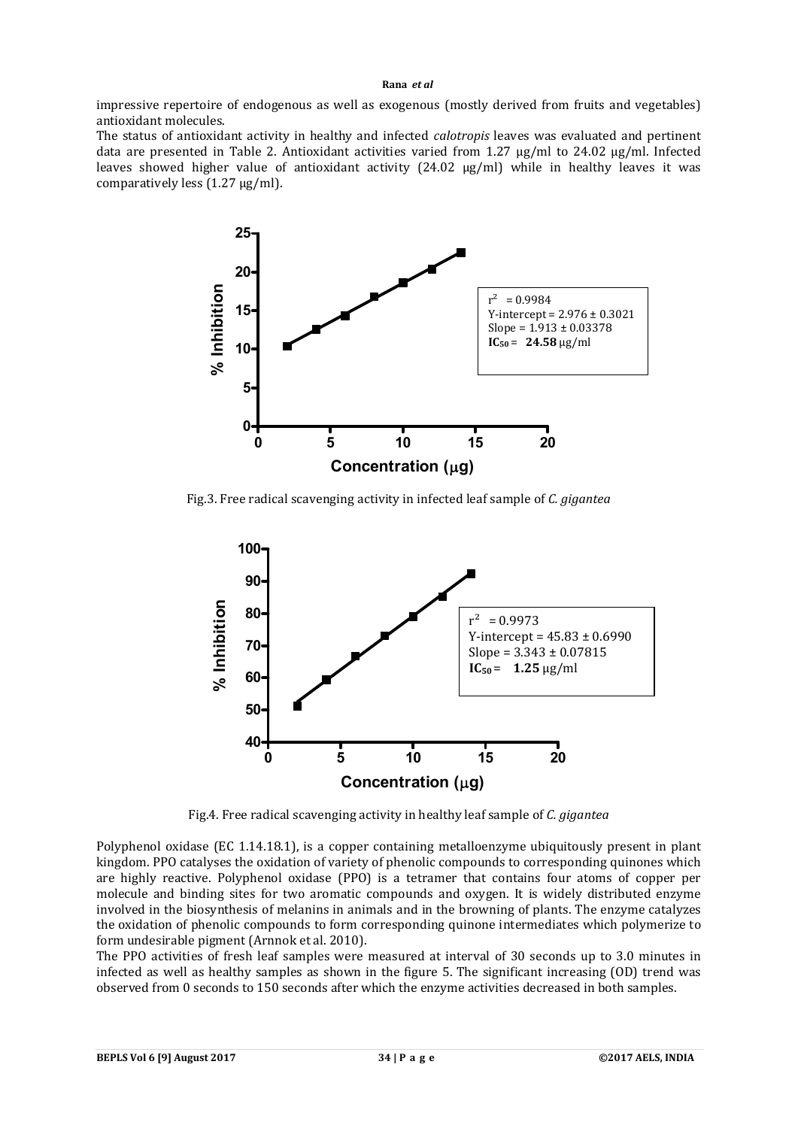impressive repertoire of endogenous as well as exogenous (mostly derived from fruits and vegetables) antioxidant molecules.

The status of antioxidant activity in healthy and infected *calotropis* leaves was evaluated and pertinent data are presented in Table 2. Antioxidant activities varied from 1.27 µg/ml to 24.02 µg/ml. Infected leaves showed higher value of antioxidant activity (24.02 µg/ml) while in healthy leaves it was comparatively less (1.27 µg/ml).



Fig.3. Free radical scavenging activity in infected leaf sample of *C. gigantea*



Fig.4. Free radical scavenging activity in healthy leaf sample of *C. gigantea*

Polyphenol oxidase (EC 1.14.18.1), is a copper containing metalloenzyme ubiquitously present in plant kingdom. PPO catalyses the oxidation of variety of phenolic compounds to corresponding quinones which are highly reactive. Polyphenol oxidase (PPO) is a tetramer that contains four atoms of copper per molecule and binding sites for two aromatic compounds and oxygen. It is widely distributed enzyme involved in the biosynthesis of melanins in animals and in the browning of plants. The enzyme catalyzes the oxidation of phenolic compounds to form corresponding quinone intermediates which polymerize to form undesirable pigment (Arnnok et al. 2010).

The PPO activities of fresh leaf samples were measured at interval of 30 seconds up to 3.0 minutes in infected as well as healthy samples as shown in the figure 5. The significant increasing (OD) trend was observed from 0 seconds to 150 seconds after which the enzyme activities decreased in both samples.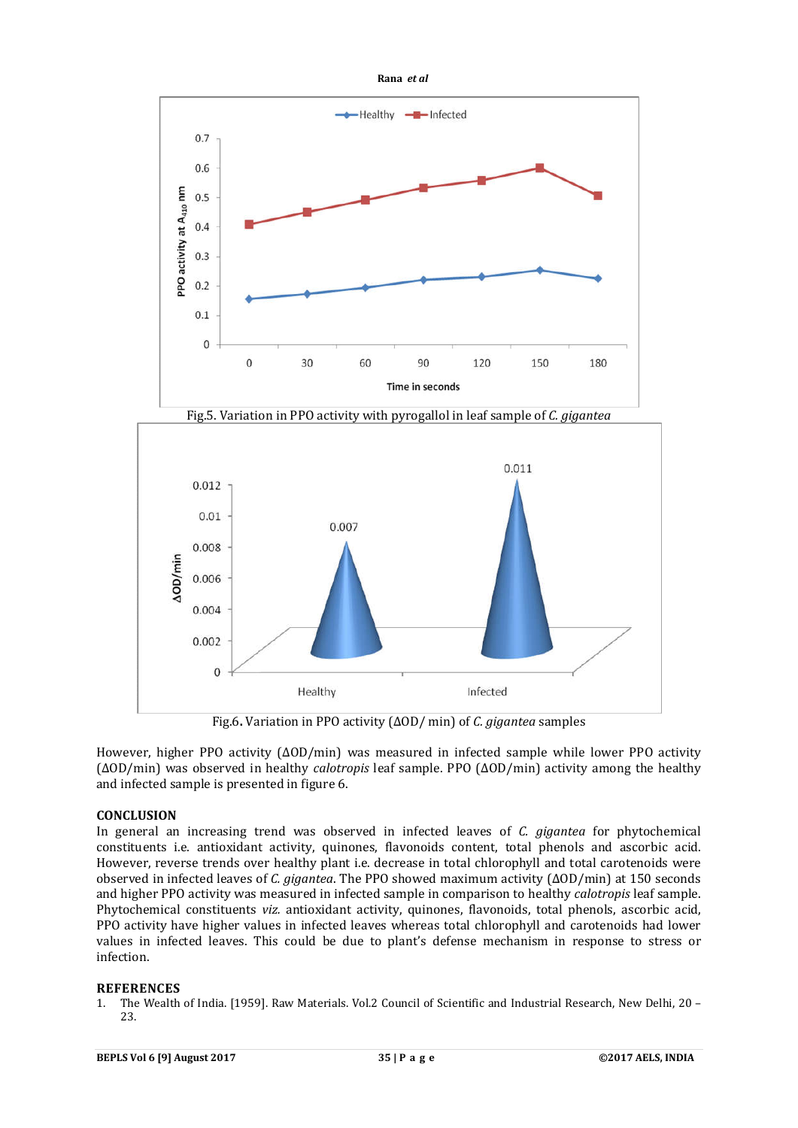



Fig.6**.** Variation in PPO activity (ΔOD/ min) of *C. gigantea* samples

However, higher PPO activity (∆OD/min) was measured in infected sample while lower PPO activity (∆OD/min) was observed in healthy *calotropis* leaf sample. PPO (∆OD/min) activity among the healthy and infected sample is presented in figure 6.

### **CONCLUSION**

In general an increasing trend was observed in infected leaves of *C. gigantea* for phytochemical constituents i.e. antioxidant activity, quinones, flavonoids content, total phenols and ascorbic acid. However, reverse trends over healthy plant i.e. decrease in total chlorophyll and total carotenoids were observed in infected leaves of *C. gigantea*. The PPO showed maximum activity (∆OD/min) at 150 seconds and higher PPO activity was measured in infected sample in comparison to healthy *calotropis* leaf sample. Phytochemical constituents *viz.* antioxidant activity, quinones, flavonoids, total phenols, ascorbic acid, PPO activity have higher values in infected leaves whereas total chlorophyll and carotenoids had lower values in infected leaves. This could be due to plant's defense mechanism in response to stress or infection.

# **REFERENCES**

1. The Wealth of India. [1959]. Raw Materials. Vol.2 Council of Scientific and Industrial Research, New Delhi, 20 – 23.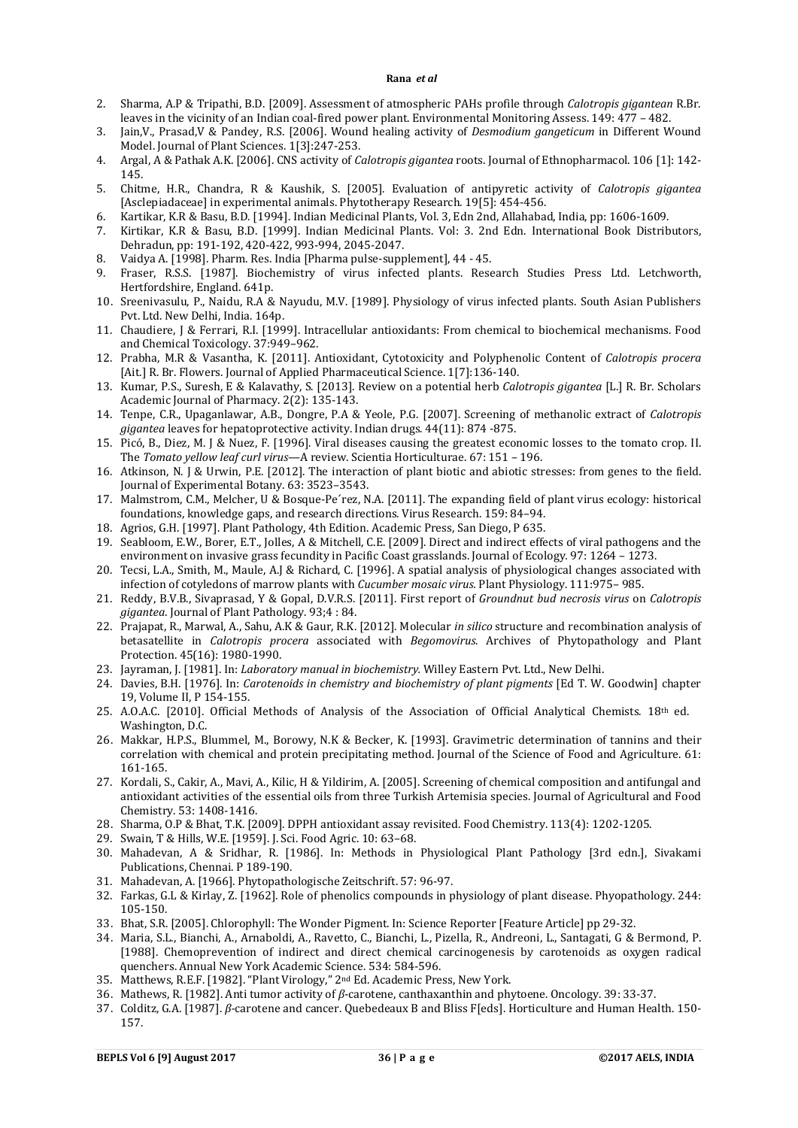- 2. Sharma, A.P & Tripathi, B.D. [2009]. Assessment of atmospheric PAHs profile through *Calotropis gigantean* R.Br. leaves in the vicinity of an Indian coal-fired power plant. Environmental Monitoring Assess. 149: 477 – 482.
- 3. Jain,V., Prasad,V & Pandey, R.S. [2006]. Wound healing activity of *Desmodium gangeticum* in Different Wound Model. Journal of Plant Sciences. 1[3]:247-253.
- 4. Argal, A & Pathak A.K. [2006]. CNS activity of *Calotropis gigantea* roots. Journal of Ethnopharmacol. 106 [1]: 142- 145.
- 5. Chitme, H.R., Chandra, R & Kaushik, S. [2005]. Evaluation of antipyretic activity of *Calotropis gigantea* [Asclepiadaceae] in experimental animals. Phytotherapy Research. 19[5]: 454-456.
- 6. Kartikar, K.R & Basu, B.D. [1994]. Indian Medicinal Plants, Vol. 3, Edn 2nd, Allahabad, India, pp: 1606-1609.
- 7. Kirtikar, K.R & Basu, B.D. [1999]. Indian Medicinal Plants. Vol: 3. 2nd Edn. International Book Distributors, Dehradun, pp: 191-192, 420-422, 993-994, 2045-2047.
- 8. Vaidya A. [1998]. Pharm. Res. India [Pharma pulse-supplement], 44 45.
- 9. Fraser, R.S.S. [1987]. Biochemistry of virus infected plants. Research Studies Press Ltd. Letchworth, Hertfordshire, England. 641p.
- 10. Sreenivasulu, P., Naidu, R.A & Nayudu, M.V. [1989]. Physiology of virus infected plants. South Asian Publishers Pvt. Ltd. New Delhi, India. 164p.
- 11. Chaudiere, J & Ferrari, R.I. [1999]. Intracellular antioxidants: From chemical to biochemical mechanisms. Food and Chemical Toxicology. 37:949–962.
- 12. Prabha, M.R & Vasantha, K. [2011]. Antioxidant, Cytotoxicity and Polyphenolic Content of *Calotropis procera*  [Ait.] R. Br. Flowers. Journal of Applied Pharmaceutical Science. 1[7]:136-140.
- 13. Kumar, P.S., Suresh, E & Kalavathy, S. [2013]. Review on a potential herb *Calotropis gigantea* [L.] R. Br*.* Scholars Academic Journal of Pharmacy. 2(2): 135-143.
- 14. Tenpe, C.R., Upaganlawar, A.B., Dongre, P.A & Yeole, P.G. [2007]. Screening of methanolic extract of *Calotropis gigantea* leaves for hepatoprotective activity. Indian drugs. 44(11): 874 -875.
- 15. Picó, B., Diez, M. J & Nuez, F. [1996]. Viral diseases causing the greatest economic losses to the tomato crop. II. The *Tomato yellow leaf curl virus*—A review. Scientia Horticulturae. 67: 151 – 196.
- 16. Atkinson, N. J & Urwin, P.E. [2012]. The interaction of plant biotic and abiotic stresses: from genes to the field. Journal of Experimental Botany. 63: 3523–3543.
- 17. Malmstrom, C.M., Melcher, U & Bosque-Pe´rez, N.A. [2011]. The expanding field of plant virus ecology: historical foundations, knowledge gaps, and research directions. Virus Research. 159: 84–94.
- 18. Agrios, G.H. [1997]. Plant Pathology, 4th Edition. Academic Press, San Diego, P 635.
- 19. Seabloom, E.W., Borer, E.T., Jolles, A & Mitchell, C.E. [2009]. Direct and indirect effects of viral pathogens and the environment on invasive grass fecundity in Pacific Coast grasslands. Journal of Ecology*.* 97: 1264 – 1273.
- 20. Tecsi, L.A., Smith, M., Maule, A.J & Richard, C. [1996]. A spatial analysis of physiological changes associated with infection of cotyledons of marrow plants with *Cucumber mosaic virus.* Plant Physiology. 111:975– 985.
- 21. Reddy, B.V.B., Sivaprasad, Y & Gopal, D.V.R.S. [2011]. First report of *Groundnut bud necrosis virus* on *Calotropis gigantea*. Journal of Plant Pathology. 93;4 : 84.
- 22. Prajapat, R., Marwal, A., Sahu, A.K & Gaur, R.K. [2012]. Molecular *in silico* structure and recombination analysis of betasatellite in *Calotropis procera* associated with *Begomovirus*. Archives of Phytopathology and Plant Protection. 45(16): 1980-1990.
- 23. Jayraman, J. [1981]. In: *Laboratory manual in biochemistry.* Willey Eastern Pvt. Ltd., New Delhi.
- 24. Davies, B.H. [1976]. In: *Carotenoids in chemistry and biochemistry of plant pigments* [Ed T. W. Goodwin] chapter 19, Volume II, P 154-155.
- 25. A.O.A.C. [2010]. Official Methods of Analysis of the Association of Official Analytical Chemists. 18th ed. Washington, D.C.
- 26. Makkar, H.P.S., Blummel, M., Borowy, N.K & Becker, K. [1993]. Gravimetric determination of tannins and their correlation with chemical and protein precipitating method. Journal of the Science of Food and Agriculture. 61: 161-165.
- 27. Kordali, S., Cakir, A., Mavi, A., Kilic, H & Yildirim, A. [2005]. Screening of chemical composition and antifungal and antioxidant activities of the essential oils from three Turkish Artemisia species. Journal of Agricultural and Food Chemistry. 53: 1408-1416.
- 28. Sharma, O.P & Bhat, T.K. [2009]. DPPH antioxidant assay revisited. Food Chemistry. 113(4): 1202-1205.
- 29. Swain, T & Hills, W.E. [1959]. J. Sci. Food Agric. 10: 63–68.
- 30. Mahadevan, A & Sridhar, R. [1986]. In: Methods in Physiological Plant Pathology [3rd edn.], Sivakami Publications, Chennai. P 189-190.
- 31. Mahadevan, A. [1966]. Phytopathologische Zeitschrift. 57: 96-97.
- 32. Farkas, G.L & Kirlay, Z. [1962]. Role of phenolics compounds in physiology of plant disease. Phyopathology. 244: 105-150.
- 33. Bhat, S.R. [2005]. Chlorophyll: The Wonder Pigment. In: Science Reporter [Feature Article] pp 29-32.
- 34. Maria, S.L., Bianchi, A., Arnaboldi, A., Ravetto, C., Bianchi, L., Pizella, R., Andreoni, L., Santagati, G & Bermond, P. [1988]. Chemoprevention of indirect and direct chemical carcinogenesis by carotenoids as oxygen radical quenchers. Annual New York Academic Science. 534: 584-596.
- 35. Matthews, R.E.F. [1982]. "Plant Virology," 2nd Ed. Academic Press, New York.
- 36. Mathews, R. [1982]. Anti tumor activity of *β*-carotene, canthaxanthin and phytoene. Oncology. 39: 33-37.
- 37. Colditz, G.A. [1987]. *β-*carotene and cancer. Quebedeaux B and Bliss F[eds]. Horticulture and Human Health. 150- 157.